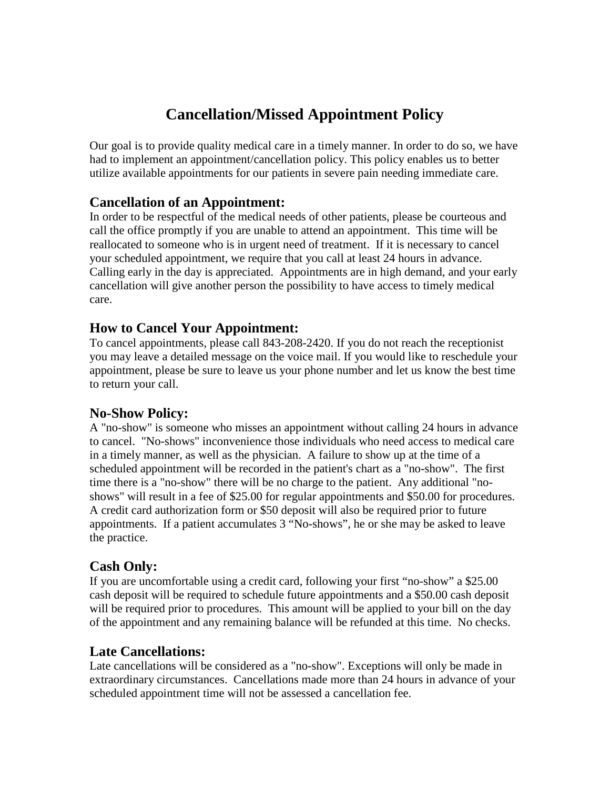# **Cancellation/Missed Appointment Policy**

Our goal is to provide quality medical care in a timely manner. In order to do so, we have had to implement an appointment/cancellation policy. This policy enables us to better utilize available appointments for our patients in severe pain needing immediate care.

### **Cancellation of an Appointment:**

In order to be respectful of the medical needs of other patients, please be courteous and call the office promptly if you are unable to attend an appointment. This time will be reallocated to someone who is in urgent need of treatment. If it is necessary to cancel your scheduled appointment, we require that you call at least 24 hours in advance. Calling early in the day is appreciated. Appointments are in high demand, and your early cancellation will give another person the possibility to have access to timely medical care.

#### **How to Cancel Your Appointment:**

To cancel appointments, please call 843-208-2420. If you do not reach the receptionist you may leave a detailed message on the voice mail. If you would like to reschedule your appointment, please be sure to leave us your phone number and let us know the best time to return your call.

### **No-Show Policy:**

A "no-show" is someone who misses an appointment without calling 24 hours in advance to cancel. "No-shows" inconvenience those individuals who need access to medical care in a timely manner, as well as the physician. A failure to show up at the time of a scheduled appointment will be recorded in the patient's chart as a "no-show". The first time there is a "no-show" there will be no charge to the patient. Any additional "noshows" will result in a fee of \$25.00 for regular appointments and \$50.00 for procedures. A credit card authorization form or \$50 deposit will also be required prior to future appointments. If a patient accumulates 3 "No-shows", he or she may be asked to leave the practice.

## **Cash Only:**

If you are uncomfortable using a credit card, following your first "no-show" a \$25.00 cash deposit will be required to schedule future appointments and a \$50.00 cash deposit will be required prior to procedures. This amount will be applied to your bill on the day of the appointment and any remaining balance will be refunded at this time. No checks.

### **Late Cancellations:**

Late cancellations will be considered as a "no-show". Exceptions will only be made in extraordinary circumstances. Cancellations made more than 24 hours in advance of your scheduled appointment time will not be assessed a cancellation fee.